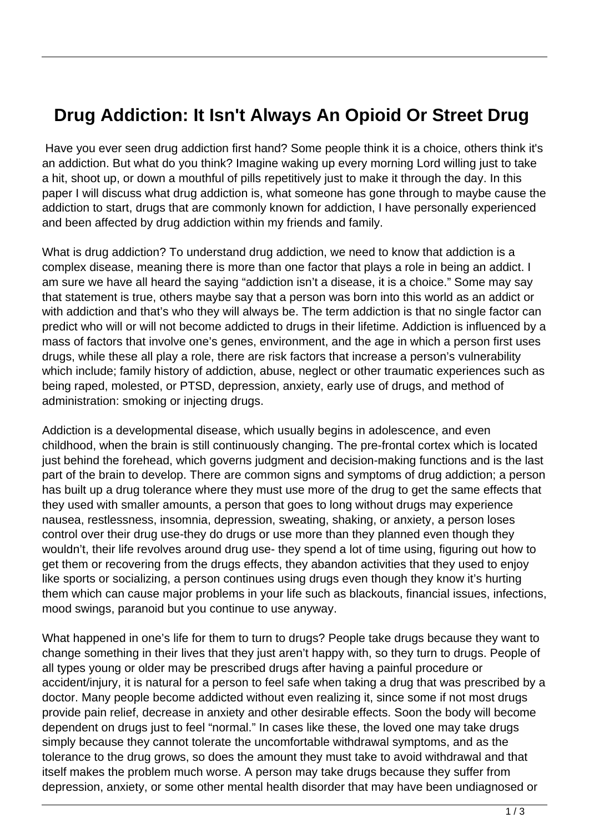## **Drug Addiction: It Isn't Always An Opioid Or Street Drug**

 Have you ever seen drug addiction first hand? Some people think it is a choice, others think it's an addiction. But what do you think? Imagine waking up every morning Lord willing just to take a hit, shoot up, or down a mouthful of pills repetitively just to make it through the day. In this paper I will discuss what drug addiction is, what someone has gone through to maybe cause the addiction to start, drugs that are commonly known for addiction, I have personally experienced and been affected by drug addiction within my friends and family.

What is drug addiction? To understand drug addiction, we need to know that addiction is a complex disease, meaning there is more than one factor that plays a role in being an addict. I am sure we have all heard the saying "addiction isn't a disease, it is a choice." Some may say that statement is true, others maybe say that a person was born into this world as an addict or with addiction and that's who they will always be. The term addiction is that no single factor can predict who will or will not become addicted to drugs in their lifetime. Addiction is influenced by a mass of factors that involve one's genes, environment, and the age in which a person first uses drugs, while these all play a role, there are risk factors that increase a person's vulnerability which include; family history of addiction, abuse, neglect or other traumatic experiences such as being raped, molested, or PTSD, depression, anxiety, early use of drugs, and method of administration: smoking or injecting drugs.

Addiction is a developmental disease, which usually begins in adolescence, and even childhood, when the brain is still continuously changing. The pre-frontal cortex which is located just behind the forehead, which governs judgment and decision-making functions and is the last part of the brain to develop. There are common signs and symptoms of drug addiction; a person has built up a drug tolerance where they must use more of the drug to get the same effects that they used with smaller amounts, a person that goes to long without drugs may experience nausea, restlessness, insomnia, depression, sweating, shaking, or anxiety, a person loses control over their drug use-they do drugs or use more than they planned even though they wouldn't, their life revolves around drug use- they spend a lot of time using, figuring out how to get them or recovering from the drugs effects, they abandon activities that they used to enjoy like sports or socializing, a person continues using drugs even though they know it's hurting them which can cause major problems in your life such as blackouts, financial issues, infections, mood swings, paranoid but you continue to use anyway.

What happened in one's life for them to turn to drugs? People take drugs because they want to change something in their lives that they just aren't happy with, so they turn to drugs. People of all types young or older may be prescribed drugs after having a painful procedure or accident/injury, it is natural for a person to feel safe when taking a drug that was prescribed by a doctor. Many people become addicted without even realizing it, since some if not most drugs provide pain relief, decrease in anxiety and other desirable effects. Soon the body will become dependent on drugs just to feel "normal." In cases like these, the loved one may take drugs simply because they cannot tolerate the uncomfortable withdrawal symptoms, and as the tolerance to the drug grows, so does the amount they must take to avoid withdrawal and that itself makes the problem much worse. A person may take drugs because they suffer from depression, anxiety, or some other mental health disorder that may have been undiagnosed or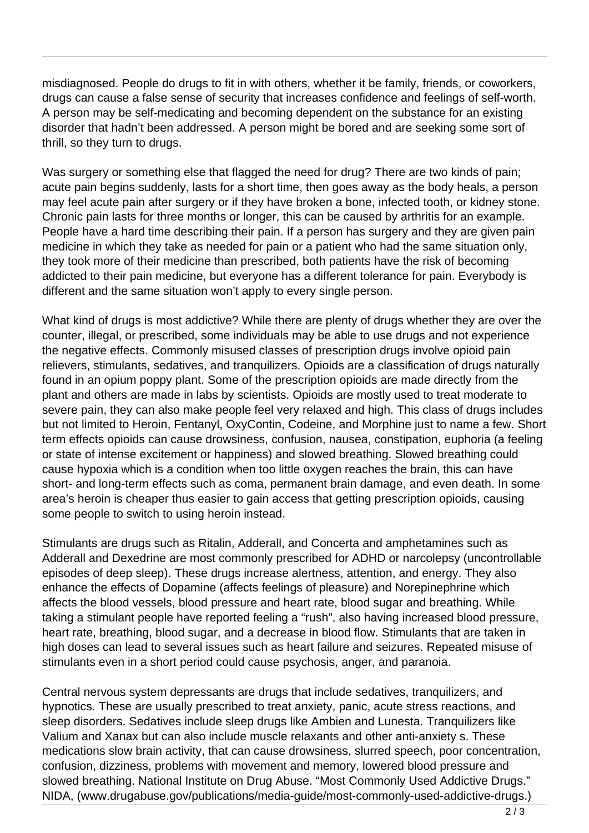misdiagnosed. People do drugs to fit in with others, whether it be family, friends, or coworkers, drugs can cause a false sense of security that increases confidence and feelings of self-worth. A person may be self-medicating and becoming dependent on the substance for an existing disorder that hadn't been addressed. A person might be bored and are seeking some sort of thrill, so they turn to drugs.

Was surgery or something else that flagged the need for drug? There are two kinds of pain; acute pain begins suddenly, lasts for a short time, then goes away as the body heals, a person may feel acute pain after surgery or if they have broken a bone, infected tooth, or kidney stone. Chronic pain lasts for three months or longer, this can be caused by arthritis for an example. People have a hard time describing their pain. If a person has surgery and they are given pain medicine in which they take as needed for pain or a patient who had the same situation only, they took more of their medicine than prescribed, both patients have the risk of becoming addicted to their pain medicine, but everyone has a different tolerance for pain. Everybody is different and the same situation won't apply to every single person.

What kind of drugs is most addictive? While there are plenty of drugs whether they are over the counter, illegal, or prescribed, some individuals may be able to use drugs and not experience the negative effects. Commonly misused classes of prescription drugs involve opioid pain relievers, stimulants, sedatives, and tranquilizers. Opioids are a classification of drugs naturally found in an opium poppy plant. Some of the prescription opioids are made directly from the plant and others are made in labs by scientists. Opioids are mostly used to treat moderate to severe pain, they can also make people feel very relaxed and high. This class of drugs includes but not limited to Heroin, Fentanyl, OxyContin, Codeine, and Morphine just to name a few. Short term effects opioids can cause drowsiness, confusion, nausea, constipation, euphoria (a feeling or state of intense excitement or happiness) and slowed breathing. Slowed breathing could cause hypoxia which is a condition when too little oxygen reaches the brain, this can have short- and long-term effects such as coma, permanent brain damage, and even death. In some area's heroin is cheaper thus easier to gain access that getting prescription opioids, causing some people to switch to using heroin instead.

Stimulants are drugs such as Ritalin, Adderall, and Concerta and amphetamines such as Adderall and Dexedrine are most commonly prescribed for ADHD or narcolepsy (uncontrollable episodes of deep sleep). These drugs increase alertness, attention, and energy. They also enhance the effects of Dopamine (affects feelings of pleasure) and Norepinephrine which affects the blood vessels, blood pressure and heart rate, blood sugar and breathing. While taking a stimulant people have reported feeling a "rush", also having increased blood pressure, heart rate, breathing, blood sugar, and a decrease in blood flow. Stimulants that are taken in high doses can lead to several issues such as heart failure and seizures. Repeated misuse of stimulants even in a short period could cause psychosis, anger, and paranoia.

Central nervous system depressants are drugs that include sedatives, tranquilizers, and hypnotics. These are usually prescribed to treat anxiety, panic, acute stress reactions, and sleep disorders. Sedatives include sleep drugs like Ambien and Lunesta. Tranquilizers like Valium and Xanax but can also include muscle relaxants and other anti-anxiety s. These medications slow brain activity, that can cause drowsiness, slurred speech, poor concentration, confusion, dizziness, problems with movement and memory, lowered blood pressure and slowed breathing. National Institute on Drug Abuse. "Most Commonly Used Addictive Drugs." NIDA, (www.drugabuse.gov/publications/media-guide/most-commonly-used-addictive-drugs.)